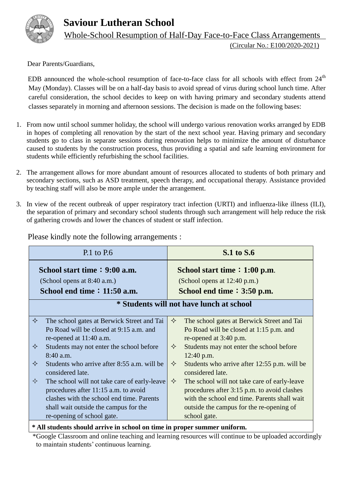

 **Saviour Lutheran School**

Whole-School Resumption of Half-Day Face-to-Face Class Arrangements

(Circular No.: E100/2020-2021)

Dear Parents/Guardians,

EDB announced the whole-school resumption of face-to-face class for all schools with effect from  $24<sup>th</sup>$ May (Monday). Classes will be on a half-day basis to avoid spread of virus during school lunch time. After careful consideration, the school decides to keep on with having primary and secondary students attend classes separately in morning and afternoon sessions. The decision is made on the following bases:

- 1. From now until school summer holiday, the school will undergo various renovation works arranged by EDB in hopes of completing all renovation by the start of the next school year. Having primary and secondary students go to class in separate sessions during renovation helps to minimize the amount of disturbance caused to students by the construction process, thus providing a spatial and safe learning environment for students while efficiently refurbishing the school facilities.
- 2. The arrangement allows for more abundant amount of resources allocated to students of both primary and secondary sections, such as ASD treatment, speech therapy, and occupational therapy. Assistance provided by teaching staff will also be more ample under the arrangement.
- 3. In view of the recent outbreak of upper respiratory tract infection (URTI) and influenza-like illness (ILI), the separation of primary and secondary school students through such arrangement will help reduce the risk of gathering crowds and lower the chances of student or staff infection.

| School start time: 9:00 a.m.<br>(School opens at 8:40 a.m.)<br>School end time $: 11:50$ a.m.<br>✧<br>The school gates at Berwick Street and Tai<br>Po Road will be closed at 9:15 a.m. and<br>re-opened at 11:40 a.m.                                                                                                                                                | School start time $: 1:00$ p.m.<br>(School opens at 12:40 p.m.)<br>School end time $: 3:50$ p.m.                                                                                                                                                                                                                                                                                                                                                                                             |  |
|-----------------------------------------------------------------------------------------------------------------------------------------------------------------------------------------------------------------------------------------------------------------------------------------------------------------------------------------------------------------------|----------------------------------------------------------------------------------------------------------------------------------------------------------------------------------------------------------------------------------------------------------------------------------------------------------------------------------------------------------------------------------------------------------------------------------------------------------------------------------------------|--|
|                                                                                                                                                                                                                                                                                                                                                                       |                                                                                                                                                                                                                                                                                                                                                                                                                                                                                              |  |
|                                                                                                                                                                                                                                                                                                                                                                       |                                                                                                                                                                                                                                                                                                                                                                                                                                                                                              |  |
|                                                                                                                                                                                                                                                                                                                                                                       | * Students will not have lunch at school                                                                                                                                                                                                                                                                                                                                                                                                                                                     |  |
| ✧<br>Students may not enter the school before<br>$8:40$ a.m.<br>✧<br>Students who arrive after 8:55 a.m. will be<br>considered late.<br>The school will not take care of early-leave<br>$\Leftrightarrow$<br>procedures after 11:15 a.m. to avoid<br>clashes with the school end time. Parents<br>shall wait outside the campus for the<br>re-opening of school gate. | ✧<br>The school gates at Berwick Street and Tai<br>Po Road will be closed at 1:15 p.m. and<br>re-opened at 3:40 p.m.<br>✧<br>Students may not enter the school before<br>12:40 p.m.<br>$\Leftrightarrow$<br>Students who arrive after 12:55 p.m. will be<br>considered late.<br>✧<br>The school will not take care of early-leave<br>procedures after 3:15 p.m. to avoid clashes<br>with the school end time. Parents shall wait<br>outside the campus for the re-opening of<br>school gate. |  |

Please kindly note the following arrangements :

**\* All students should arrive in school on time in proper summer uniform.**

\*Google Classroom and online teaching and learning resources will continue to be uploaded accordingly to maintain students' continuous learning.